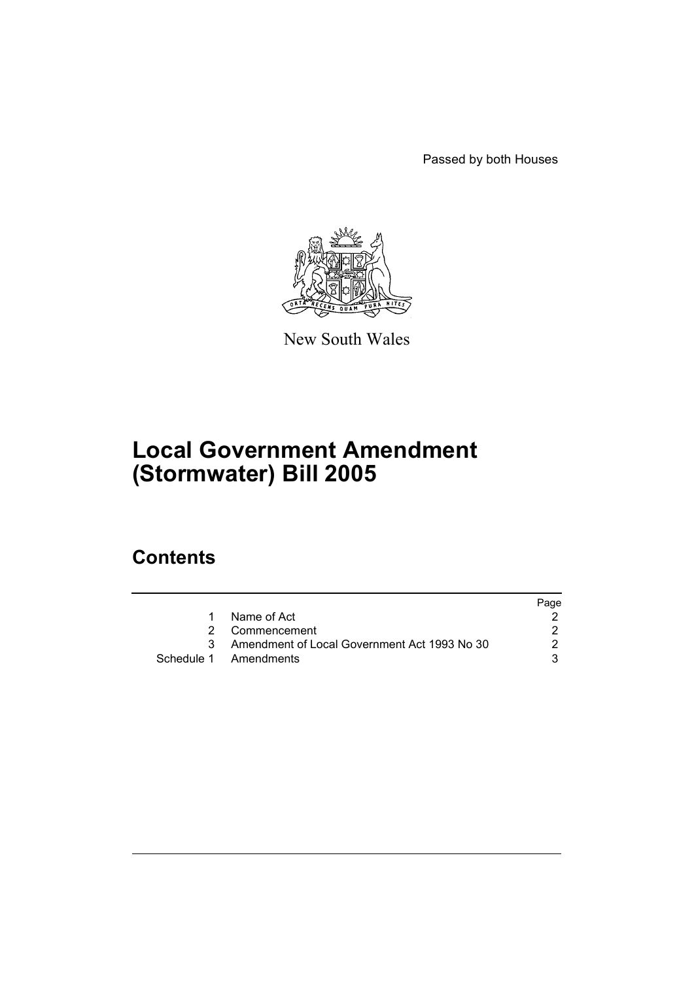Passed by both Houses



New South Wales

# **Local Government Amendment (Stormwater) Bill 2005**

# **Contents**

|                                                | Page |
|------------------------------------------------|------|
| 1 Name of Act                                  |      |
| 2 Commencement                                 |      |
| 3 Amendment of Local Government Act 1993 No 30 | 2    |
| Schedule 1 Amendments                          |      |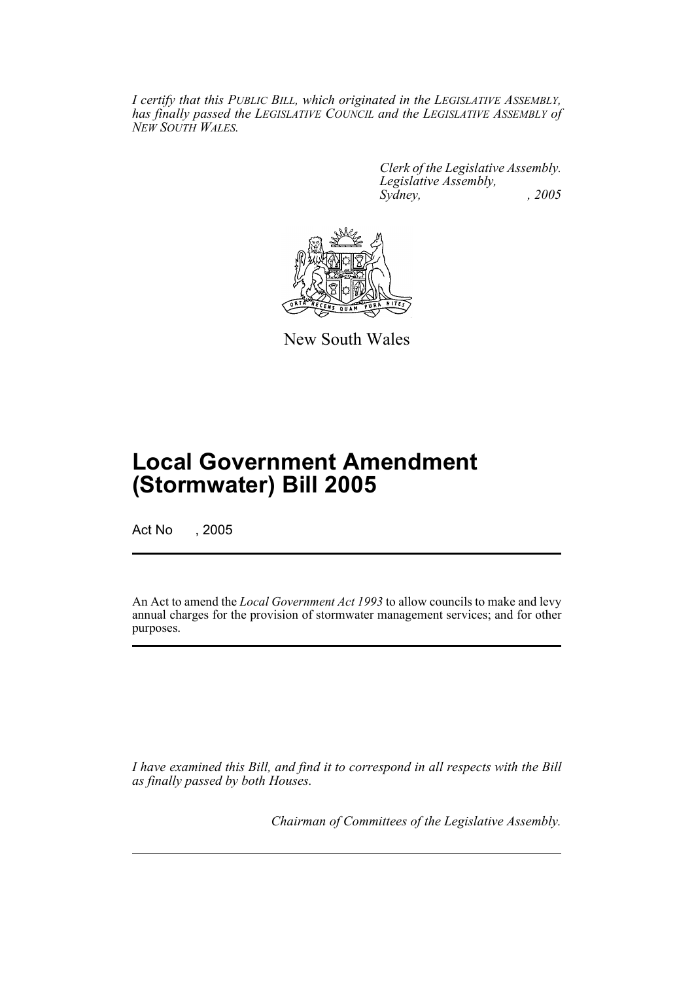*I certify that this PUBLIC BILL, which originated in the LEGISLATIVE ASSEMBLY, has finally passed the LEGISLATIVE COUNCIL and the LEGISLATIVE ASSEMBLY of NEW SOUTH WALES.*

> *Clerk of the Legislative Assembly. Legislative Assembly, Sydney, , 2005*



New South Wales

# **Local Government Amendment (Stormwater) Bill 2005**

Act No , 2005

An Act to amend the *Local Government Act 1993* to allow councils to make and levy annual charges for the provision of stormwater management services; and for other purposes.

*I have examined this Bill, and find it to correspond in all respects with the Bill as finally passed by both Houses.*

*Chairman of Committees of the Legislative Assembly.*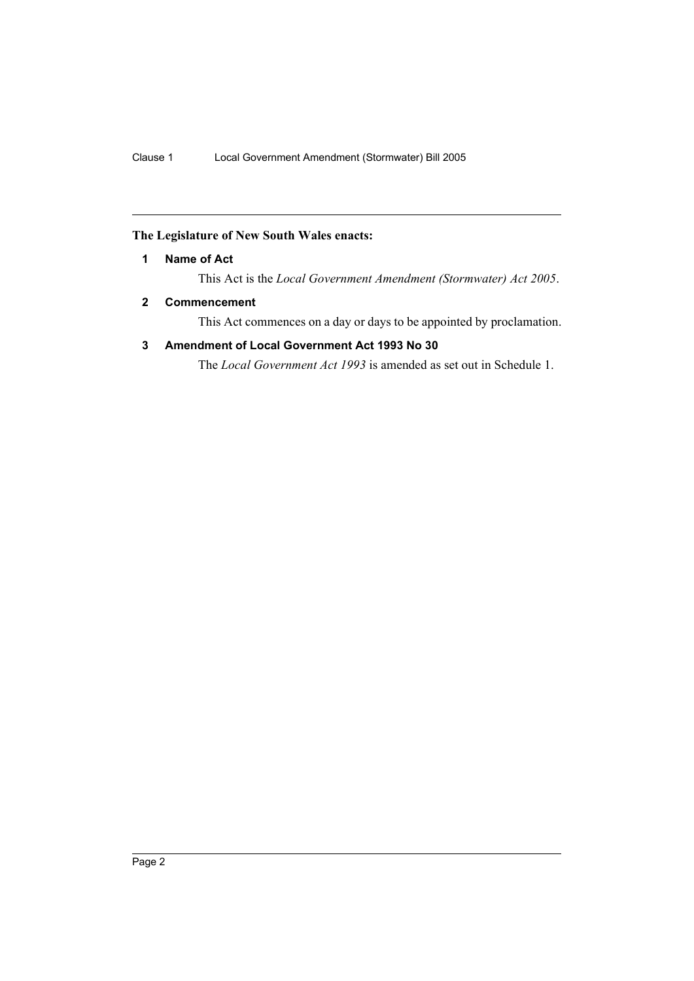# **The Legislature of New South Wales enacts:**

### **1 Name of Act**

This Act is the *Local Government Amendment (Stormwater) Act 2005*.

# **2 Commencement**

This Act commences on a day or days to be appointed by proclamation.

# **3 Amendment of Local Government Act 1993 No 30**

The *Local Government Act 1993* is amended as set out in Schedule 1.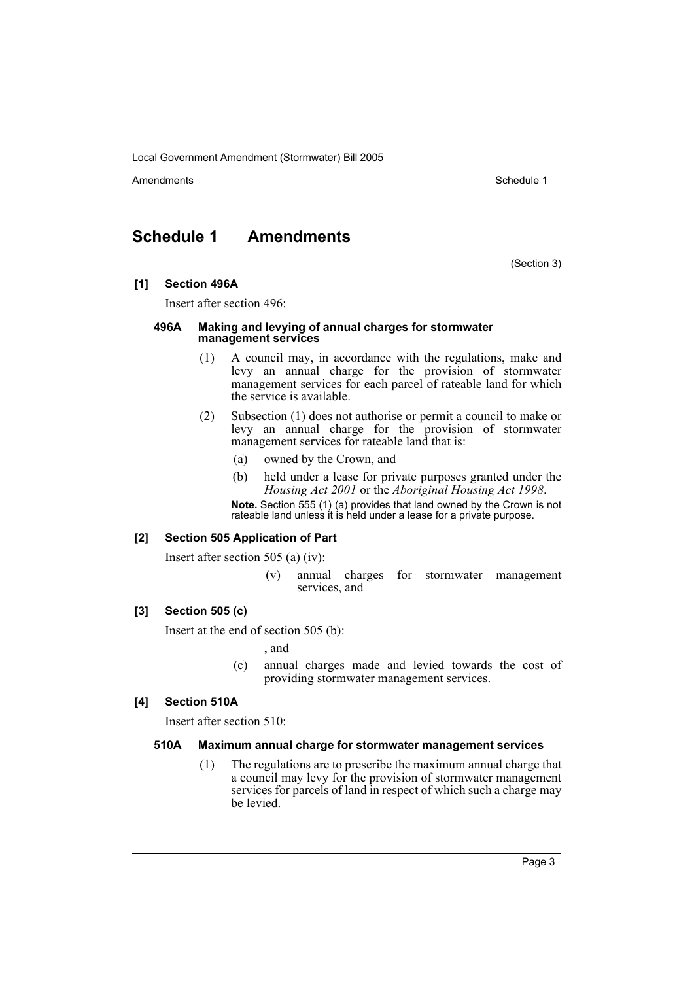Local Government Amendment (Stormwater) Bill 2005

Amendments **Amendments** Schedule 1

# **Schedule 1 Amendments**

(Section 3)

### **[1] Section 496A**

Insert after section 496:

#### **496A Making and levying of annual charges for stormwater management services**

- (1) A council may, in accordance with the regulations, make and levy an annual charge for the provision of stormwater management services for each parcel of rateable land for which the service is available.
- (2) Subsection (1) does not authorise or permit a council to make or levy an annual charge for the provision of stormwater management services for rateable land that is:
	- (a) owned by the Crown, and
	- (b) held under a lease for private purposes granted under the *Housing Act 2001* or the *Aboriginal Housing Act 1998*.

**Note.** Section 555 (1) (a) provides that land owned by the Crown is not rateable land unless it is held under a lease for a private purpose.

# **[2] Section 505 Application of Part**

Insert after section 505 (a) (iv):

(v) annual charges for stormwater management services, and

# **[3] Section 505 (c)**

Insert at the end of section 505 (b):

, and

(c) annual charges made and levied towards the cost of providing stormwater management services.

# **[4] Section 510A**

Insert after section 510:

#### **510A Maximum annual charge for stormwater management services**

(1) The regulations are to prescribe the maximum annual charge that a council may levy for the provision of stormwater management services for parcels of land in respect of which such a charge may be levied.